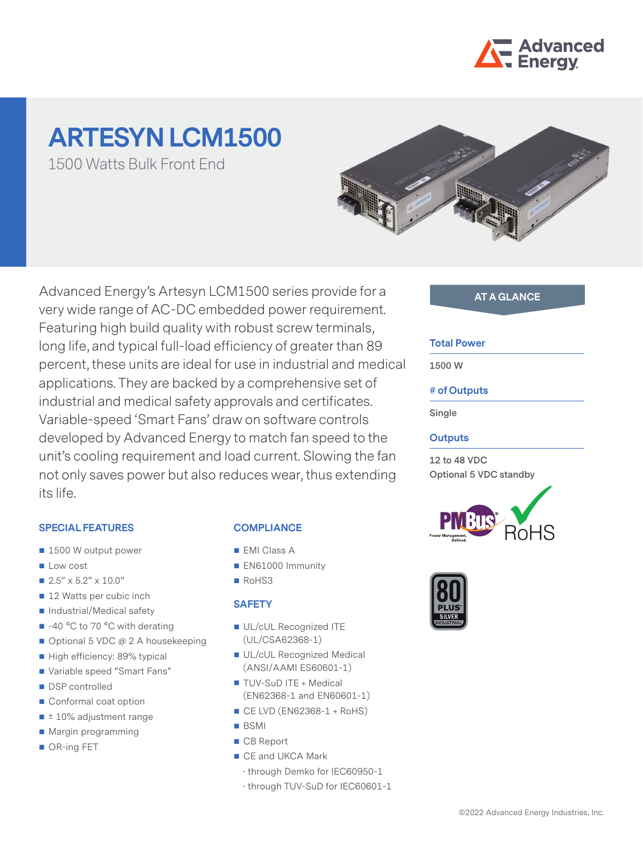

# **ARTESYN LCM1500**

1500 Watts Bulk Front End



Advanced Energy's Artesyn LCM1500 series provide for a very wide range of AC-DC embedded power requirement. Featuring high build quality with robust screw terminals, long life, and typical full-load efficiency of greater than 89 percent, these units are ideal for use in industrial and medical applications. They are backed by a comprehensive set of industrial and medical safety approvals and certificates. Variable-speed 'Smart Fans' draw on software controls developed by Advanced Energy to match fan speed to the unit's cooling requirement and load current. Slowing the fan not only saves power but also reduces wear, thus extending its life.

# **SPECIAL FEATURES**

- 1500 W output power
- $\blacksquare$  Low cost
- $2.5" \times 5.2" \times 10.0"$
- 12 Watts per cubic inch
- Industrial/Medical safety
- -40 °C to 70 °C with derating
- Optional 5 VDC @ 2 A housekeeping
- High efficiency: 89% typical
- Variable speed "Smart Fans"
- DSP controlled
- Conformal coat option
- ± 10% adjustment range
- Margin programming
- OR-ing FET

# **COMPLIANCE**

- **EMI Class A**
- EN61000 Immunity
- RoHS3

# **SAFETY**

- UL/cUL Recognized ITE (UL/CSA62368-1)
- UL/cUL Recognized Medical (ANSI/AAMI ES60601-1)
- **TUV-SuD ITE + Medical** (EN62368-1 and EN60601-1)
- $\blacksquare$  CE LVD (EN62368-1 + RoHS)
- BSMI
- CB Report
- CE and UKCA Mark
	- · through Demko for IEC60950-1
	- · through TUV-SuD for IEC60601-1

# **AT A GLANCE**

### **Total Power**

**1500 W**

# **# of Outputs**

**Single**

# **Outputs**

**12 to 48 VDC Optional 5 VDC standby**



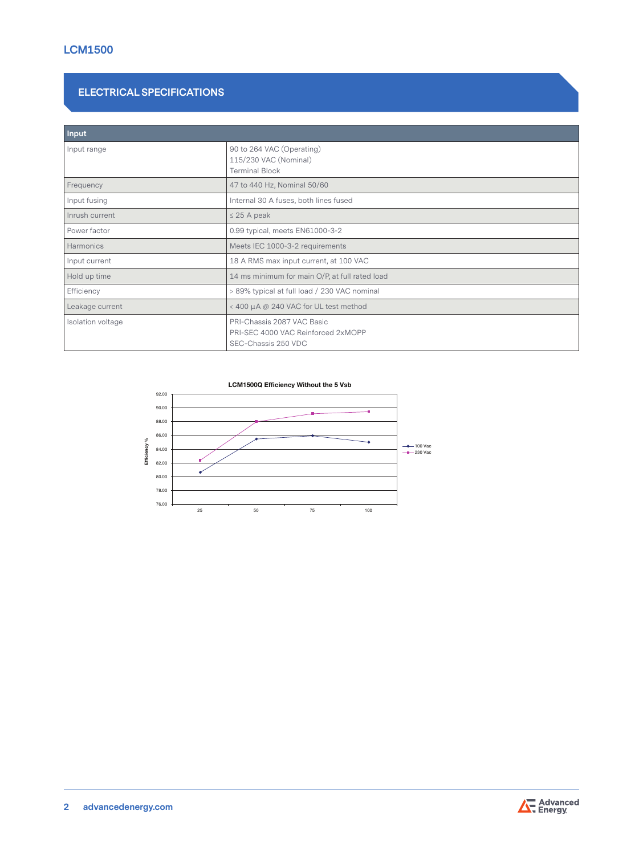# **ELECTRICAL SPECIFICATIONS**

| Input             |                                                                                         |
|-------------------|-----------------------------------------------------------------------------------------|
| Input range       | 90 to 264 VAC (Operating)<br>115/230 VAC (Nominal)<br><b>Terminal Block</b>             |
| Frequency         | 47 to 440 Hz, Nominal 50/60                                                             |
| Input fusing      | Internal 30 A fuses, both lines fused                                                   |
| Inrush current    | $\leq$ 25 A peak                                                                        |
| Power factor      | 0.99 typical, meets EN61000-3-2                                                         |
| Harmonics         | Meets IEC 1000-3-2 requirements                                                         |
| Input current     | 18 A RMS max input current, at 100 VAC                                                  |
| Hold up time      | 14 ms minimum for main O/P, at full rated load                                          |
| Efficiency        | > 89% typical at full load / 230 VAC nominal                                            |
| Leakage current   | < 400 μA @ 240 VAC for UL test method                                                   |
| Isolation voltage | PRI-Chassis 2087 VAC Basic<br>PRI-SEC 4000 VAC Reinforced 2xMOPP<br>SEC-Chassis 250 VDC |





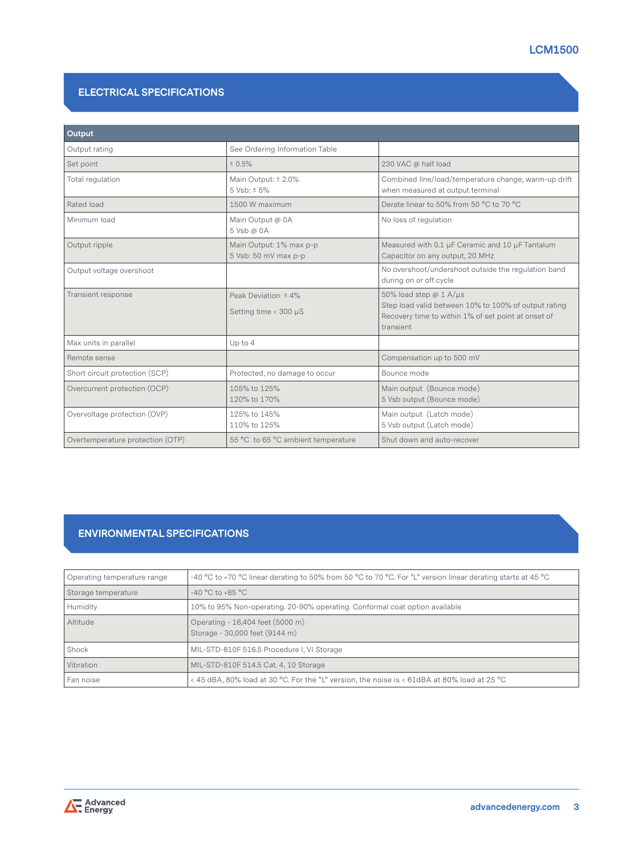# **ELECTRICAL SPECIFICATIONS**

| Output                                                       |                                                      |                                                                                                                                                           |
|--------------------------------------------------------------|------------------------------------------------------|-----------------------------------------------------------------------------------------------------------------------------------------------------------|
| Output rating                                                | See Ordering Information Table                       |                                                                                                                                                           |
| Set point                                                    | ± 0.5%                                               | 230 VAC @ half load                                                                                                                                       |
| Total regulation                                             | Main Output: ± 2.0%<br>$5 Vsb: \pm 5%$               | Combined line/load/temperature change, warm-up drift<br>when measured at output terminal                                                                  |
| Rated load                                                   | 1500 W maximum                                       | Derate linear to 50% from 50 °C to 70 °C                                                                                                                  |
| Minimum load                                                 | Main Output @ 0A<br>5 Vsb @ 0A                       | No loss of regulation                                                                                                                                     |
| Output ripple                                                | Main Output: 1% max p-p<br>5 Vsb: 50 mV max p-p      | Measured with 0.1 µF Ceramic and 10 µF Tantalum<br>Capacitor on any output, 20 MHz                                                                        |
| Output voltage overshoot                                     |                                                      | No overshoot/undershoot outside the regulation band<br>during on or off cycle                                                                             |
| Transient response                                           | Peak Deviation: ± 4%<br>Setting time $<$ 300 $\mu$ S | 50% load step $@1$ A/ $\mu s$<br>Step load valid between 10% to 100% of output rating<br>Recovery time to within 1% of set point at onset of<br>transient |
| Max units in parallel                                        | Up to 4                                              |                                                                                                                                                           |
| Remote sense                                                 |                                                      | Compensation up to 500 mV                                                                                                                                 |
| Short circuit protection (SCP)                               | Protected, no damage to occur                        | Bounce mode                                                                                                                                               |
| Overcurrent protection (OCP)<br>105% to 125%<br>120% to 170% |                                                      | Main output (Bounce mode)<br>5 Vsb output (Bounce mode)                                                                                                   |
| Overvoltage protection (OVP)                                 | 125% to 145%<br>110% to 125%                         | Main output (Latch mode)<br>5 Vsb output (Latch mode)                                                                                                     |
| Overtemperature protection (OTP)                             | 55 °C to 65 °C ambient temperature                   | Shut down and auto-recover                                                                                                                                |

# **ENVIRONMENTAL SPECIFICATIONS**

| Operating temperature range | -40 °C to +70 °C linear derating to 50% from 50 °C to 70 °C. For "L" version linear derating starts at 45 °C |  |  |  |
|-----------------------------|--------------------------------------------------------------------------------------------------------------|--|--|--|
| Storage temperature         | $-40 °C$ to $+85 °C$                                                                                         |  |  |  |
| Humidity                    | 10% to 95% Non-operating. 20-90% operating. Conformal coat option available                                  |  |  |  |
| Altitude                    | Operating - 16,404 feet (5000 m)<br>Storage - 30,000 feet (9144 m)                                           |  |  |  |
| Shock                       | MIL-STD-810F 516.5 Procedure I, VI Storage                                                                   |  |  |  |
| Vibration                   | MIL-STD-810F 514.5 Cat. 4, 10 Storage                                                                        |  |  |  |
| Fan noise                   | < 45 dBA, 80% load at 30 °C. For the "L" version, the noise is < 61dBA at 80% load at 25 °C                  |  |  |  |

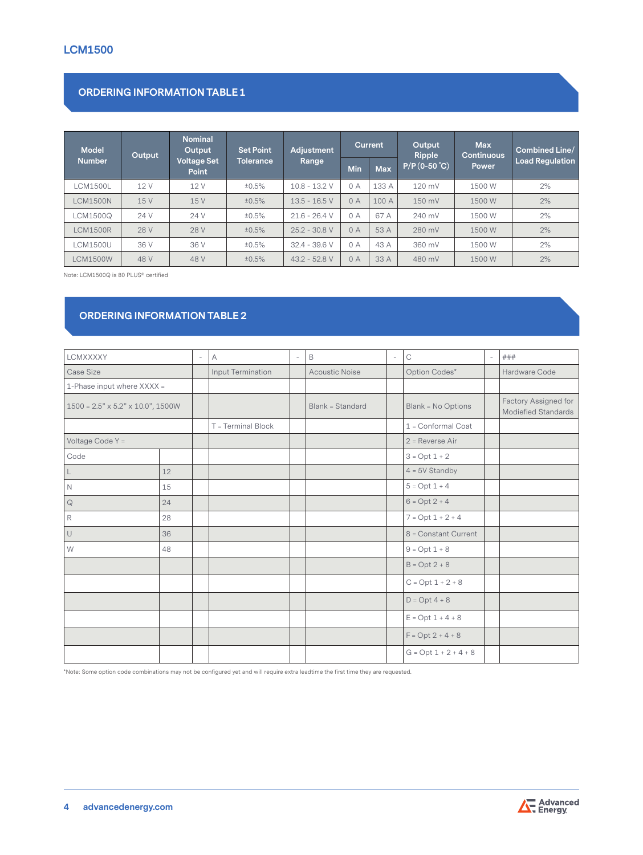# **ORDERING INFORMATION TABLE 1**

| <b>Model</b>    | Output | <b>Nominal</b><br>Output           | <b>Set Point</b> | Adjustment      | <b>Current</b> |            | Output<br>Ripple  | <b>Max</b><br><b>Continuous</b> | Combined Line/         |  |
|-----------------|--------|------------------------------------|------------------|-----------------|----------------|------------|-------------------|---------------------------------|------------------------|--|
| <b>Number</b>   |        | <b>Voltage Set</b><br><b>Point</b> | <b>Tolerance</b> | Range           | <b>Min</b>     | <b>Max</b> | $(P/P (0-50 °C))$ | <b>Power</b>                    | <b>Load Regulation</b> |  |
| <b>CM1500L</b>  | 12 V   | 12 V                               | ±0.5%            | $10.8 - 13.2$ V | 0 A            | 133 A      | 120 mV            | 1500 W                          | 2%                     |  |
| LCM1500N        | 15 V   | 15 V                               | ±0.5%            | $13.5 - 16.5 V$ | 0A             | 100A       | 150 mV            | 1500 W                          | 2%                     |  |
| LCM1500Q        | 24 V   | 24 V                               | ±0.5%            | $21.6 - 26.4$ V | 0A             | 67 A       | 240 mV            | 1500 W                          | 2%                     |  |
| <b>LCM1500R</b> | 28 V   | 28 V                               | ±0.5%            | $25.2 - 30.8$ V | 0A             | 53 A       | 280 mV            | 1500 W                          | 2%                     |  |
| <b>LCM1500U</b> | 36 V   | 36 V                               | ±0.5%            | $32.4 - 39.6 V$ | 0 A            | 43 A       | 360 mV            | 1500 W                          | 2%                     |  |
| <b>LCM1500W</b> | 48 V   | 48 V                               | ±0.5%            | $43.2 - 52.8$ V | 0A             | 33 A       | 480 mV            | 1500 W                          | 2%                     |  |

Note: LCM1500Q is 80 PLUS® certified

# **ORDERING INFORMATION TABLE 2**

| LCMXXXXY                                      |    | $\overline{\phantom{a}}$ | $\overline{A}$     | $\sim$ | B                     | $\overline{\phantom{a}}$ | $\mathop{\rm C}\nolimits$ | $\overline{\phantom{a}}$ | ###                                         |
|-----------------------------------------------|----|--------------------------|--------------------|--------|-----------------------|--------------------------|---------------------------|--------------------------|---------------------------------------------|
| Case Size                                     |    |                          | Input Termination  |        | <b>Acoustic Noise</b> |                          | Option Codes*             |                          | Hardware Code                               |
| 1-Phase input where XXXX =                    |    |                          |                    |        |                       |                          |                           |                          |                                             |
| $1500 = 2.5" \times 5.2" \times 10.0", 1500W$ |    |                          |                    |        | Blank = Standard      |                          | Blank = No Options        |                          | Factory Assigned for<br>Modiefied Standards |
|                                               |    |                          | T = Terminal Block |        |                       |                          | 1 = Conformal Coat        |                          |                                             |
| Voltage Code Y =                              |    |                          |                    |        |                       |                          | $2$ = Reverse Air         |                          |                                             |
| Code                                          |    |                          |                    |        |                       |                          | $3 = Opt 1 + 2$           |                          |                                             |
| $\mathsf L$                                   | 12 |                          |                    |        |                       |                          | $4 = 5V$ Standby          |                          |                                             |
| $\mathbb N$                                   | 15 |                          |                    |        |                       |                          | $5 = Opt 1 + 4$           |                          |                                             |
| $\mathbb Q$                                   | 24 |                          |                    |        |                       |                          | $6 = Opt 2 + 4$           |                          |                                             |
| $\mathsf R$                                   | 28 |                          |                    |        |                       |                          | $7 = Opt 1 + 2 + 4$       |                          |                                             |
| $\cup$                                        | 36 |                          |                    |        |                       |                          | 8 = Constant Current      |                          |                                             |
| W                                             | 48 |                          |                    |        |                       |                          | $9 = Opt 1 + 8$           |                          |                                             |
|                                               |    |                          |                    |        |                       |                          | $B = Opt 2 + 8$           |                          |                                             |
|                                               |    |                          |                    |        |                       |                          | $C = Opt 1 + 2 + 8$       |                          |                                             |
|                                               |    |                          |                    |        |                       |                          | $D = Opt 4 + 8$           |                          |                                             |
|                                               |    |                          |                    |        |                       |                          | $E = Opt 1 + 4 + 8$       |                          |                                             |
|                                               |    |                          |                    |        |                       |                          | $F = Opt 2 + 4 + 8$       |                          |                                             |
|                                               |    |                          |                    |        |                       |                          | $G = Opt 1 + 2 + 4 + 8$   |                          |                                             |

\*Note: Some option code combinations may not be configured yet and will require extra leadtime the first time they are requested.

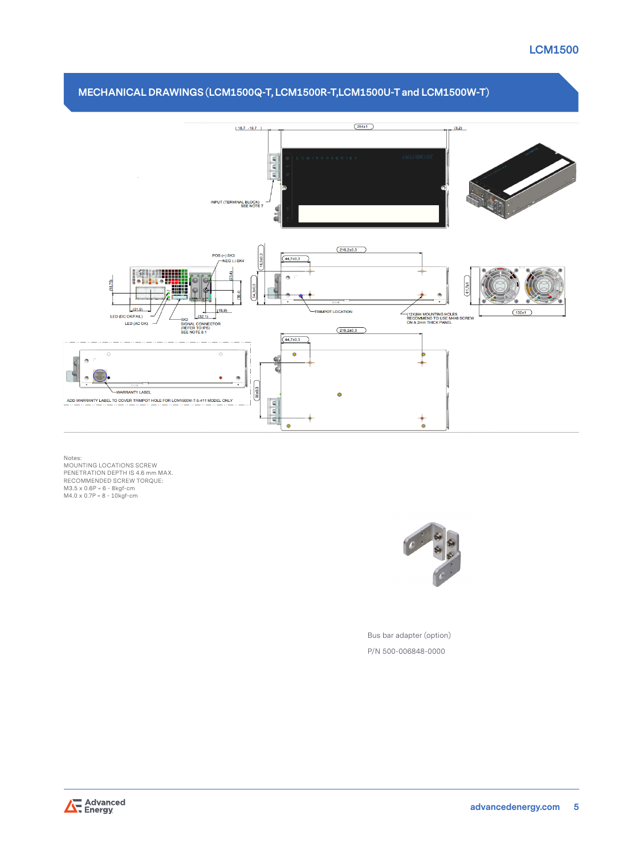# **LCM1500**



# Notes:<br>MOUNTING LOCATIONS SCREW<br>PENETRATION DEPTH IS 4.6 mm MAX.<br>RECOMMENDED SCREW TORQUE:<br>M3.5 x 0.6P = 6 - 8kgf-cm<br>M4.0 x 0.7P = 8 - 10kgf-cm



Bus bar adapter (option) P/N 500-006848-0000

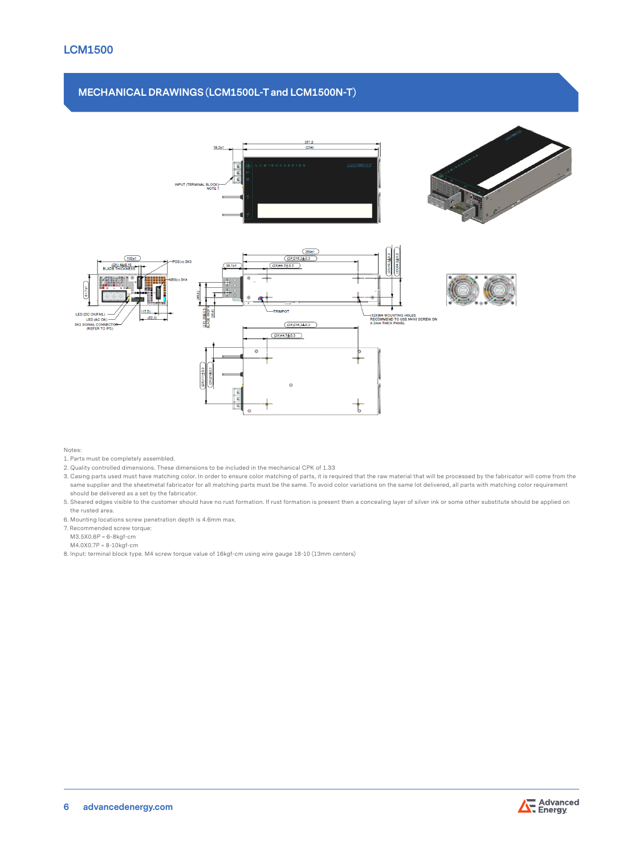# **MECHANICAL DRAWINGS (LCM1500L-T and LCM1500N-T)**



Notes:

- 1. Parts must be completely assembled.
- 2. Quality controlled dimensions. These dimensions to be included in the mechanical CPK of 1.33
- 3. Casing parts used must have matching color. In order to ensure color matching of parts, it is required that the raw material that will be processed by the fabricator will come from the same supplier and the sheetmetal fabricator for all matching parts must be the same. To avoid color variations on the same lot delivered, all parts with matching color requirement should be delivered as a set by the fabricator.
- 5. Sheared edges visible to the customer should have no rust formation. If rust formation is present then a concealing layer of silver ink or some other substitute should be applied on the rusted area.
- 6. Mounting locations screw penetration depth is 4.6mm max.
- 7. Recommended screw torque:

**6 advancedenergy.com**

- M3.5X0.6P = 6-8kgf-cm
- M4.0X0.7P = 8-10kgf-cm
- 8. Input: terminal block type. M4 screw torque value of 16kgf-cm using wire gauge 18-10 (13mm centers)

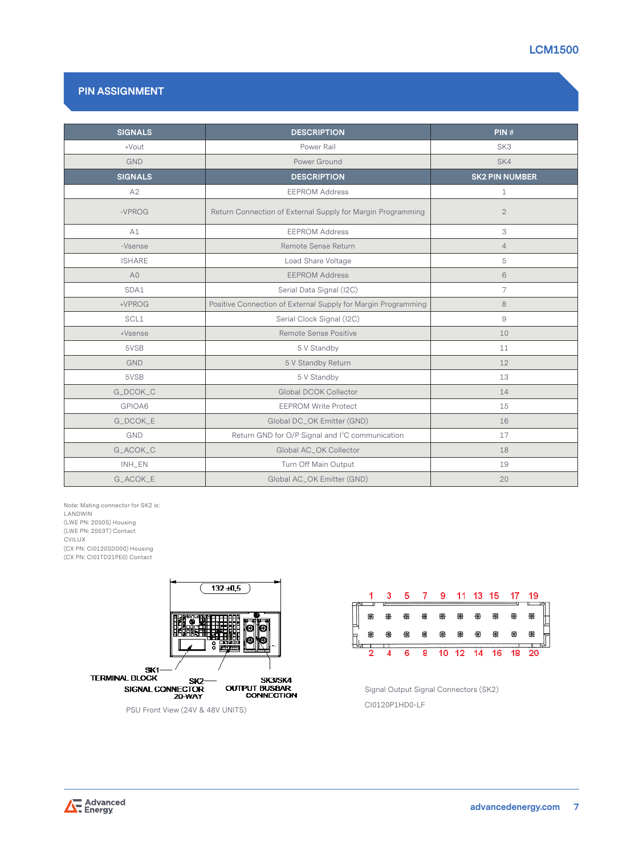

# **PIN ASSIGNMENT**

| <b>SIGNALS</b> | <b>DESCRIPTION</b>                                            | PIN#                  |  |  |
|----------------|---------------------------------------------------------------|-----------------------|--|--|
| +Vout          | Power Rail                                                    | SK <sub>3</sub>       |  |  |
| <b>GND</b>     | Power Ground                                                  | SK4                   |  |  |
| <b>SIGNALS</b> | <b>DESCRIPTION</b>                                            | <b>SK2 PIN NUMBER</b> |  |  |
| A2             | <b>EEPROM Address</b>                                         | $\mathbf{1}$          |  |  |
| $-VPROG$       | Return Connection of External Supply for Margin Programming   | $\mathbf{2}$          |  |  |
| A1             | <b>EEPROM Address</b>                                         | 3                     |  |  |
| -Vsense        | Remote Sense Return                                           | $\overline{4}$        |  |  |
| <b>ISHARE</b>  | Load Share Voltage                                            | 5                     |  |  |
| A <sub>0</sub> | <b>EEPROM Address</b>                                         | 6                     |  |  |
| SDA1           | Serial Data Signal (I2C)                                      | $\overline{7}$        |  |  |
| +VPROG         | Positive Connection of External Supply for Margin Programming | 8                     |  |  |
| SCL1           | Serial Clock Signal (I2C)                                     | 9                     |  |  |
| +Vsense        | Remote Sense Positive                                         | 10                    |  |  |
| 5VSB           | 5 V Standby                                                   | 11                    |  |  |
| <b>GND</b>     | 5 V Standby Return                                            | 12                    |  |  |
| 5VSB           | 5 V Standby                                                   | 13                    |  |  |
| G_DCOK_C       | Global DCOK Collector                                         | 14                    |  |  |
| GPIOA6         | <b>EEPROM Write Protect</b>                                   | 15                    |  |  |
| G_DCOK_E       | Global DC_OK Emitter (GND)                                    | 16                    |  |  |
| <b>GND</b>     | Return GND for O/P Signal and I <sup>2</sup> C communication  | 17                    |  |  |
| G_ACOK_C       | Global AC_OK Collector                                        | 18                    |  |  |
| INH_EN         | Turn Off Main Output                                          | 19                    |  |  |
| G_ACOK_E       | Global AC_OK Emitter (GND)                                    | 20                    |  |  |

Note: Mating connector for SK2 is: LANDWIN (LWE PN: 2050S) Housing (LWE PN: 2053T) Contact CVILUX (CX PN: CI0120SD000) Housing (CX PN: CI01TD21PE0) Contact



PSU Front View (24V & 48V UNITS)



 Signal Output Signal Connectors (SK2) CI0120P1HD0-LF

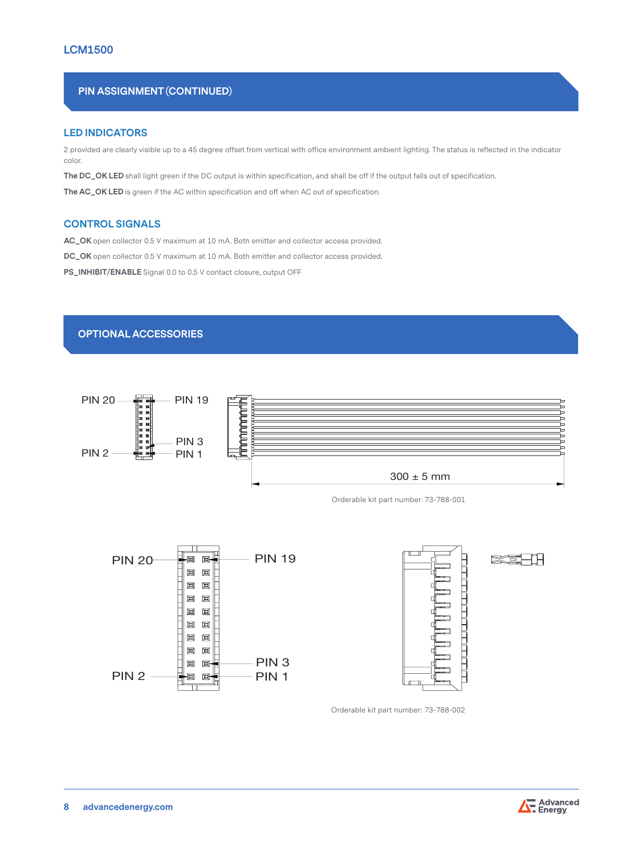# **PIN ASSIGNMENT (CONTINUED)**

### **LED INDICATORS**

2 provided are clearly visible up to a 45 degree offset from vertical with office environment ambient lighting. The status is reflected in the indicator color.

**The DC\_OK LED** shall light green if the DC output is within specification, and shall be off if the output falls out of specification.

**The AC\_OK LED** is green if the AC within specification and off when AC out of specification.

### **CONTROL SIGNALS**

**AC\_OK** open collector 0.5 V maximum at 10 mA. Both emitter and collector access provided.

**DC\_OK** open collector 0.5 V maximum at 10 mA. Both emitter and collector access provided.

**PS\_INHIBIT/ENABLE** Signal 0.0 to 0.5 V contact closure, output OFF

### **OPTIONAL ACCESSORIES**



Orderable kit part number: 73-788-001





rai kari kari daga sebesar dan sebesar dan sama sebesar dan sama sebesar dan salah salah salah sahiji dalam ko<br>Sebesar dan komponing dalam komponing dan masjid dan masjid dalam komponing dalam komponing dalam dalam dalam <br>

Orderable kit part number: 73-788-002

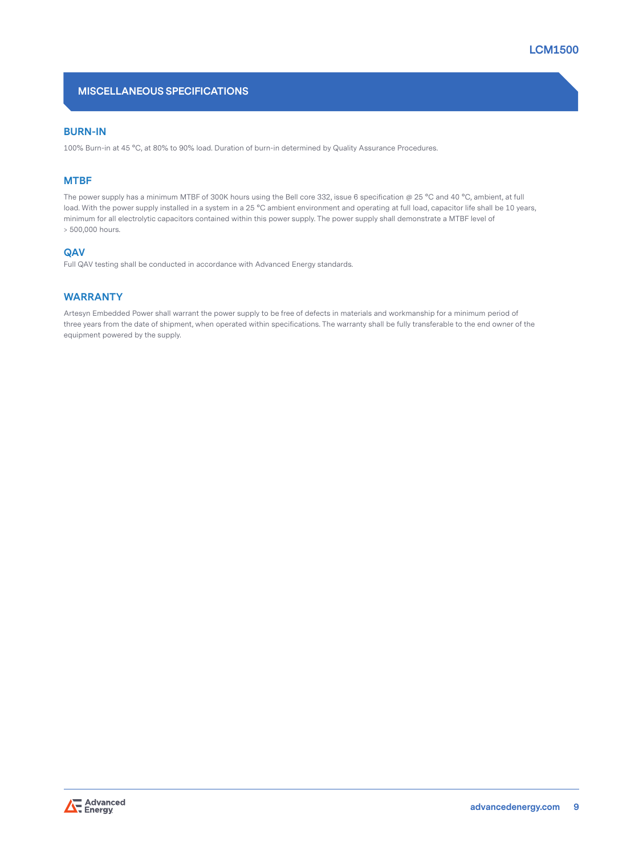# **MISCELLANEOUS SPECIFICATIONS**

### **BURN-IN**

100% Burn-in at 45 °C, at 80% to 90% load. Duration of burn-in determined by Quality Assurance Procedures.

### **MTBF**

The power supply has a minimum MTBF of 300K hours using the Bell core 332, issue 6 specification @ 25 °C and 40 °C, ambient, at full load. With the power supply installed in a system in a 25 °C ambient environment and operating at full load, capacitor life shall be 10 years, minimum for all electrolytic capacitors contained within this power supply. The power supply shall demonstrate a MTBF level of > 500,000 hours.

### **QAV**

Full QAV testing shall be conducted in accordance with Advanced Energy standards.

# **WARRANTY**

Artesyn Embedded Power shall warrant the power supply to be free of defects in materials and workmanship for a minimum period of three years from the date of shipment, when operated within specifications. The warranty shall be fully transferable to the end owner of the equipment powered by the supply.